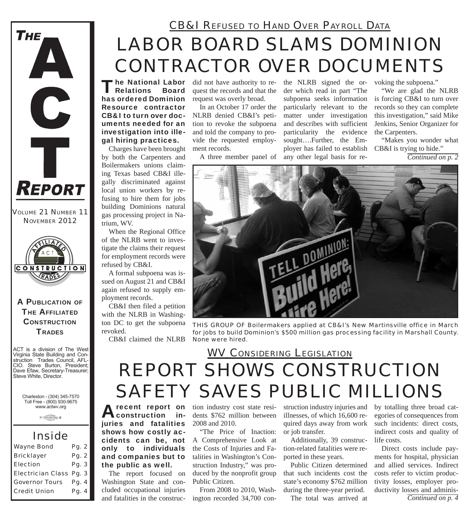

*VOLUME 21 NUMBER 11 NOVEMBER 2012*



#### A PUBLICATION OF **THE AFFILIATED CONSTRUCTION TRADES**

ACT is a division of The West Virginia State Building and Construction Trades Council, AFL-CIO. Steve Burton, President; Dave Efaw, Secretary-Treasurer; Steve White, Director.

Charleston - (304) 345-7570 Toll Free - (800) 930-9675 www.actwv.org

 $0$  Therefore you be  $6$ 

### *Inside*

| <b>Wayne Bond</b>       | Pg. 2 |  |
|-------------------------|-------|--|
| <b>Bricklayer</b>       | Pg. 2 |  |
| <b>Election</b>         | Pg. 3 |  |
| Electrician Class Pq. 3 |       |  |
| <b>Governor Tours</b>   | Pg. 4 |  |
| <b>Credit Union</b>     | Pg. 4 |  |

## *LABOR BOARD SLAMS DOMINION CONTRACTOR OVER DOCUMENTS CB&I REFUSED TO HAND OVER PAYROLL DATA*

The National Labor<br>Relations Board has ordered Dominion Resource contractor CB&I to turn over documents needed for an investigation into illegal hiring practices.

Charges have been brought by both the Carpenters and Boilermakers unions claiming Texas based CB&I illegally discriminated against local union workers by refusing to hire them for jobs building Dominions natural gas processing project in Natrium, WV.

When the Regional Office of the NLRB went to investigate the claims their request for employment records were refused by CB&I.

A formal subpoena was issued on August 21 and CB&I again refused to supply employment records.

CB&I then filed a petition with the NLRB in Washington DC to get the subpoena revoked.

CB&I claimed the NLRB

did not have authority to request the records and that the request was overly broad.

In an October 17 order the NLRB denied CB&I's petition to revoke the subpoena and told the company to provide the requested employment records.

A three member panel of

the NLRB signed the order which read in part "The subpoena seeks information particularly relevant to the matter under investigation and describes with sufficient particularity the evidence sought….Further, the Employer has failed to establish any other legal basis for re-

voking the subpoena."

"We are glad the NLRB is forcing CB&I to turn over records so they can complete this investigation," said Mike Jenkins, Senior Organizer for the Carpenters.

"Makes you wonder what CB&I is trying to hide." *Continued on p. 2*



*THIS GROUP OF Boilermakers applied at CB&I's New Martinsville office in March for jobs to build Dominion's \$500 million gas processing facility in Marshall County. None were hired.*

### *REPORT SHOWS CONSTRUCTION SAFETY SAVES PUBLIC MILLIONS WV CONSIDERING LEGISLATION*

A recent report on<br> **A** construction injuries and fatalities shows how costly accidents can be, not only to individuals and companies but to the public as well.

The report focused on Washington State and concluded occupational injuries and fatalities in the construction industry cost state residents \$762 million between 2008 and 2010.

"The Price of Inaction: A Comprehensive Look at the Costs of Injuries and Fatalities in Washington's Construction Industry," was produced by the nonprofit group Public Citizen.

From 2008 to 2010, Washington recorded 34,700 construction industry injuries and illnesses, of which 16,600 required days away from work or job transfer.

Additionally, 39 construction-related fatalities were reported in these years.

Public Citizen determined that such incidents cost the state's economy \$762 million during the three-year period.

The total was arrived at

by totalling three broad categories of consequences from such incidents: direct costs, indirect costs and quality of life costs.

Direct costs include payments for hospital, physician and allied services. Indirect costs refer to victim productivity losses, employer productivity losses and adminis-*Continued on p. 4*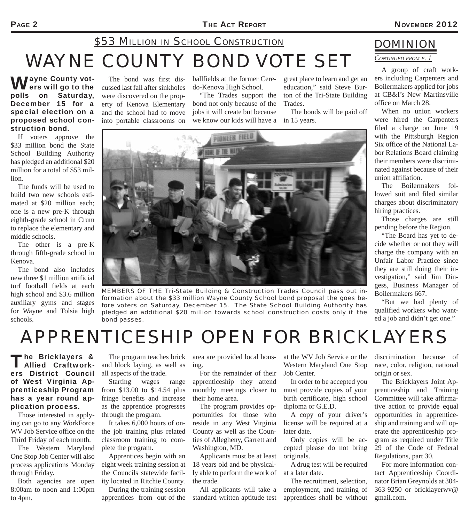## *WAYNE COUNTY BOND VOTE SET \$53 MILLION IN SCHOOL CONSTRUCTION*

**Vayne County vot-**I ers will go to the polls on Saturday, December 15 for a special election on a proposed school construction bond.

If voters approve the \$33 million bond the State School Building Authority has pledged an additional \$20 million for a total of \$53 mil-

The funds will be used to build two new schools estimated at \$20 million each; one is a new pre-K through eighth-grade school in Crum to replace the elementary and

The other is a pre-K through fifth-grade school in

The bond also includes new three \$1 million artificial turf football fields at each high school and \$3.6 million auxiliary gyms and stages for Wayne and Tolsia high

The bond was first discussed last fall after sinkholes were discovered on the property of Kenova Elementary and the school had to move into portable classrooms on

ballfields at the former Ceredo-Kenova High School.

"The Trades support the bond not only because of the jobs it will create but because we know our kids will have a in 15 years.

great place to learn and get an education," said Steve Burton of the Tri-State Building Trades.

The bonds will be paid off



*MEMBERS OF THE Tri-State Building & Construction Trades Council pass out information about the \$33 million Wayne County School bond proposal the goes before voters on Saturday, December 15. The State School Building Authority has pledged an additional \$20 million towards school construction costs only if the bond passes.*

### *DOMINION*

*CONTINUED FROM P. 1*

A group of craft workers including Carpenters and Boilermakers applied for jobs at CB&I's New Martinsville office on March 28.

When no union workers were hired the Carpenters filed a charge on June 19 with the Pittsburgh Region Six office of the National Labor Relations Board claiming their members were discriminated against because of their union affiliation.

The Boilermakers followed suit and filed similar charges about discriminatory hiring practices.

Those charges are still pending before the Region.

"The Board has yet to decide whether or not they will charge the company with an Unfair Labor Practice since they are still doing their investigation," said Jim Dingess, Business Manager of Boilermakers 667.

"But we had plenty of qualified workers who wanted a job and didn't get one."

## *APPRENTICESHIP OPEN FOR BRICKLAYERS*

#### The Bricklayers &<br>
Allied Craftworkers District Council of West Virginia Apprenticeship Program has a year round application process.

Those interested in applying can go to any WorkForce WV Job Service office on the Third Friday of each month.

The Western Maryland One Stop Job Center will also process applications Monday through Friday.

Both agencies are open 8:00am to noon and 1:00pm to 4pm.

The program teaches brick and block laying, as well as all aspects of the trade.

Starting wages range from \$13.00 to \$14.54 plus fringe benefits and increase as the apprentice progresses through the program.

It takes 6,000 hours of onthe job training plus related classroom training to complete the program.

Apprentices begin with an eight week training session at the Councils statewide facility located in Ritchie County.

During the training session apprentices from out-of-the

area are provided local housing.

For the remainder of their apprenticeship they attend monthly meetings closer to their home area.

The program provides opportunities for those who reside in any West Virginia County as well as the Counties of Allegheny, Garrett and Washington, MD.

Applicants must be at least 18 years old and be physically able to perform the work of the trade.

All applicants will take a standard written aptitude test at the WV Job Service or the Western Maryland One Stop Job Center.

In order to be accepted you must provide copies of your birth certificate, high school diploma or G.E.D.

A copy of your driver's license will be required at a later date.

Only copies will be accepted please do not bring originals.

A drug test will be required at a later date.

The recruitment, selection, employment, and training of apprentices shall be without discrimination because of race, color, religion, national origin or sex.

The Bricklayers Joint Apprenticeship and Training Committee will take affirmative action to provide equal opportunities in apprenticeship and training and will operate the apprenticeship program as required under Title 29 of the Code of Federal Regulations, part 30.

For more information contact Apprenticeship Coordinator Brian Greynolds at 304- 363-9250 or bricklayerwv@ gmail.com.

lion.

middle schools.

Kenova.

schools.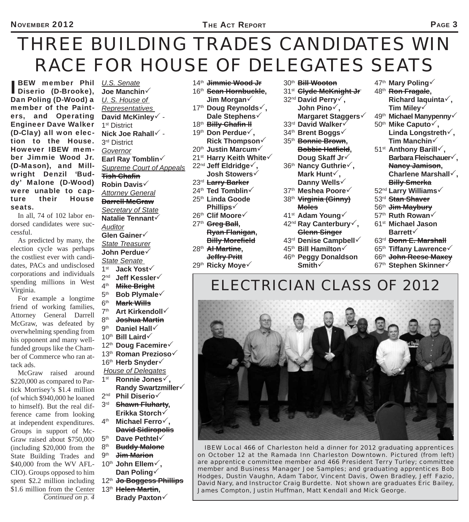# *THREE BUILDING TRADES CANDIDATES WIN RACE FOR HOUSE OF DELEGATES SEATS*

BEW member Phil<br>Diserio (D-Brooke), BEW member Phil *U.S. Senate* Dan Poling (D-Wood) a member of the Painters, and Operating Engineer Dave Walker (D-Clay) all won election to the House. However IBEW member Jimmie Wood Jr. (D-Mason), and Millwright Denzil 'Buddy' Malone (D-Wood) were unable to capture their House seats.

In all, 74 of 102 labor endorsed candidates were successful.

As predicted by many, the election cycle was perhaps the costliest ever with candidates, PACs and undisclosed corporations and individuals spending millions in West Virginia.

For example a longtime friend of working families, Attorney General Darrell McGraw, was defeated by overwhelming spending from his opponent and many wellfunded groups like the Chamber of Commerce who ran attack ads.

McGraw raised around \$220,000 as compared to Partick Morrisey's \$1.4 million (of which \$940,000 he loaned to himself). But the real difference came from looking at independent expenditures. Groups in support of Mc-Graw raised about \$750,000 (including \$20,000 from the State Building Trades and \$40,000 from the WV AFL-CIO). Groups opposed to him spent \$2.2 million including \$1.6 million from the Center *Continued on p. 4*

**Joe Manchin** *U. S. House of Representatives*  **David McKinley** - 1<sup>st</sup> District Nick Joe Rahall  $\checkmark$  -3<sup>rd</sup> District *Governor* **Earl Ray Tomblin** *Supreme Court of Appeals*  **Tish Chafi n Robin Davis** *Attorney General* **Darrell McGraw** *Secretary of State* **Natalie Tennant** *Auditor* **Glen Gainer** *State Treasurer* **John Perdue** *State Senate*  1st **Jack Yost** 2nd **Jeff Kessler** 4th **Mike Bright** 5th **Bob Plymale** 6<sup>th</sup> **Mark Wills**<br>7<sup>th</sup> Art Kirken Art Kirkendoll<sup> $\checkmark$ </sup> 8<sup>th</sup> <del>Joshua Martin</del><br>9<sup>th</sup> Daniel Hall Daniel Hall<sup> $\sqrt$ </sup> 10th **Bill Laird** 12th **Doug Facemire** 13th **Roman Prezioso** 16<sup>th</sup> Herb Snyder√  *House of Delegates* 1st **Ronnie Jones, Randy Swartzmiller** 2nd **Phil Diserio** 3rd **Shawn Fluharty, Erikka Storch** 4th **Michael Ferro, David Sidiropolis** 5th **Dave Pethtel** 8th **Buddy Malone** 9th **Jim Marion** 10th **John Ellem, Dan Poling**

- 12th **Jo Boggess Phillips**
- 13th **Helen Martin, Brady Paxton**
- 
- 14th **Jimmie Wood Jr** 16th **Sean Hornbuckle, Jim Morgan**
- 17th **Doug Reynolds, Dale Stephens**
- 18<sup>th</sup> Billy Chafin H
- 19th **Don Perdue,**
- **Rick Thompson**
- 20th **Justin Marcum**
- 21st **Harry Keith White**
- 22<sup>nd</sup> Jeff Eldridge√,  **Josh Stowers**
- 23rd **Larry Barker**
- 24th **Ted Tomblin**
- 25th **Linda Goode Phillips**
- 26th **Clif Moore**
- 27th **Greg Ball,** 
	- **Ryan Flanigan, Billy Morefield**
- 28th **Al Martine, Jeffry Pritt**
- 29th **Ricky Moye**
- 30th **Bill Wooton**
- 31<sup>st</sup> **Clyde McKnight Jr**
- 32nd **David Perry,**
- **John Pino, Margaret Staggers**
- 33rd **David Walker**
- 34th **Brent Boggs**
- 35th **Bonnie Brown, Bobbie Hatfield, Doug Skaff Jr**
- 36th **Nancy Guthrie, Mark Hunt, Danny Wells**
- 37th **Meshea Poore**
- 38th **Virginia (Ginny) Moles**
- 41st **Adam Young**
- 42nd **Ray Canterbury, Glenn Singer**
- 43rd **Denise Campbell**
- 45th **Bill Hamilton**
- 46th **Peggy Donaldson Smith**
- 47th **Mary Poling**
- 48th **Ron Fragale, Richard Iaquinta, Tim Miley**
- 49th **Michael Manypenny**
- 50th **Mike Caputo, Linda Longstreth, Tim Manchin**
- 51st **Anthony Barill, Barbara Fleischauer, Nancy Jamison, Charlene Marshall, Billy Smerka**
- 52nd **Larry Williams**
- 53rd **Stan Shaver**
- 56th **Jim Maybury**
- 57th **Ruth Rowan**
- 61st **Michael Jason Barrett**
- 63rd **Donn E. Marshall**
- 65th **Tiffany Lawrence**
- 66th **John Reese Maxey**
- 67th **Stephen Skinner**

### *ELECTRICIAN CLASS OF 2012*



*IBEW Local 466 of Charleston held a dinner for 2012 graduating apprentices on October 12 at the Ramada Inn Charleston Downtown. Pictured (from left) are apprentice committee member and 466 President Terry Turley; committee member and Business Manager Joe Samples; and graduating apprentices Bob Hodges, Dustin Vaughn, Adam Tabor, Vincent Davis, Owen Bradley, Jeff Fazio, David Nary, and Instructor Craig Burdette. Not shown are graduates Eric Bailey, James Compton, Justin Huffman, Matt Kendall and Mick George.*